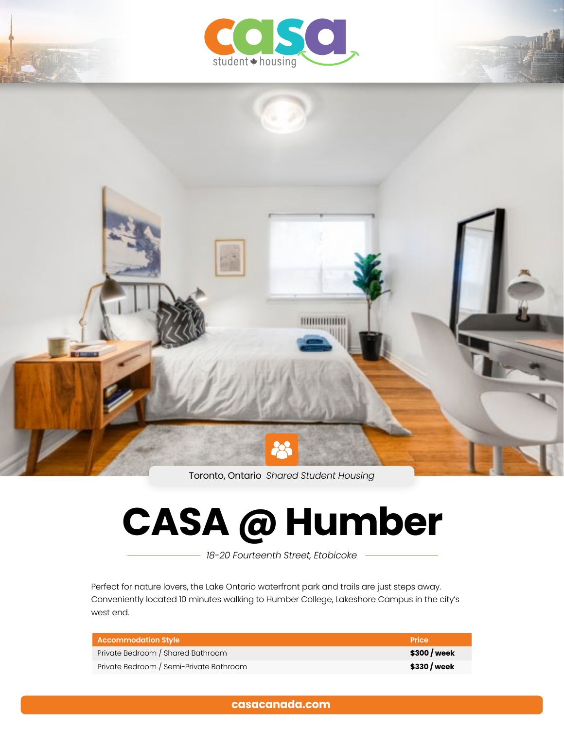



Toronto, Ontario *Shared Student Housing*

# **CASA @ Humber**

*18-20 Fourteenth Street, Etobicoke*

Perfect for nature lovers, the Lake Ontario waterfront park and trails are just steps away. Conveniently located 10 minutes walking to Humber College, Lakeshore Campus in the city's west end.

| <b>Accommodation Style</b>              | <b>Price</b> |
|-----------------------------------------|--------------|
| Private Bedroom / Shared Bathroom       | \$300 / week |
| Private Bedroom / Semi-Private Bathroom | \$330 / week |

**[casacanada.com](https://casacanada.com/)**